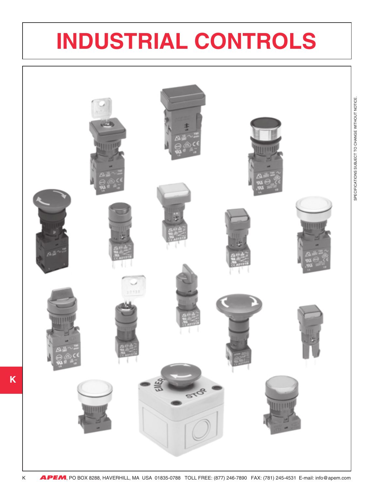# **INDUSTRIAL CONTROLS**



**K**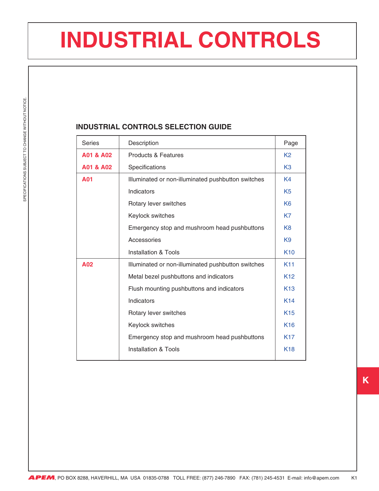# **INDUSTRIAL CONTROLS**

#### **INDUSTRIAL CONTROLS SELECTION GUIDE**

| <b>Series</b> | Description                                        | Page            |
|---------------|----------------------------------------------------|-----------------|
| A01 & A02     | <b>Products &amp; Features</b>                     | K <sub>2</sub>  |
| A01 & A02     | Specifications                                     | K <sub>3</sub>  |
| A01           | Illuminated or non-illuminated pushbutton switches | K <sub>4</sub>  |
|               | Indicators                                         | K <sub>5</sub>  |
|               | Rotary lever switches                              | K <sub>6</sub>  |
|               | Keylock switches                                   | K7              |
|               | Emergency stop and mushroom head pushbuttons       | K <sub>8</sub>  |
|               | Accessories                                        | K <sub>9</sub>  |
|               | <b>Installation &amp; Tools</b>                    | K <sub>10</sub> |
| A02           | Illuminated or non-illuminated pushbutton switches | K <sub>11</sub> |
|               | Metal bezel pushbuttons and indicators             | K <sub>12</sub> |
|               | Flush mounting pushbuttons and indicators          | K <sub>13</sub> |
|               | Indicators                                         | <b>K14</b>      |
|               | Rotary lever switches                              | K <sub>15</sub> |
|               | Keylock switches                                   | K <sub>16</sub> |
|               | Emergency stop and mushroom head pushbuttons       | <b>K17</b>      |
|               | Installation & Tools                               | <b>K18</b>      |

**APEM**, PO BOX 8288, HAVERHILL, MA USA 01835-0788 TOLL FREE: (877) 246-7890 FAX: (781) 245-4531 E-mail: info@apem.com K1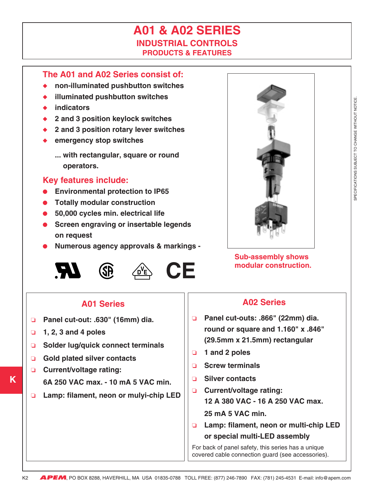## **A01 & A02 SERIES INDUSTRIAL CONTROLS PRODUCTS & FEATURES**

### <span id="page-2-0"></span>**The A01 and A02 Series consist of:**

- ◆ **non-illuminated pushbutton switches**
- **illuminated pushbutton switches**
- ◆ **indicators**
- ◆ **2 and 3 position keylock switches**
- ◆ **2 and 3 position rotary lever switches**
- ◆ **emergency stop switches**
	- **... with rectangular, square or round operators.**

### **Key features include:**

- **Environmental protection to IP65**
- **Totally modular construction**
- **50,000 cycles min. electrical life**
- **Screen engraving or insertable legends on request**
- **Numerous agency approvals & markings -**





# **CE**



**Sub-assembly shows modular construction.**

### **A01 Series**

- ❏ **Panel cut-out: .630" (16mm) dia.**
- ❏ **1, 2, 3 and 4 poles**
- ❏ **Solder lug/quick connect terminals**
- ❏ **Gold plated silver contacts**
- ❏ **Current/voltage rating: 6A 250 VAC max. - 10 mA 5 VAC min.**
- ❏ **Lamp: filament, neon or mulyi-chip LED**

## **A02 Series**

- ❏ **Panel cut-outs: .866" (22mm) dia. round or square and 1.160" x .846" (29.5mm x 21.5mm) rectangular**
- ❏ **1 and 2 poles**
- ❏ **Screw terminals**
- ❏ **Silver contacts**
- ❏ **Current/voltage rating: 12 A 380 VAC - 16 A 250 VAC max.**
	- **25 mA 5 VAC min.**
- ❏ **Lamp: filament, neon or multi-chip LED or special multi-LED assembly**

For back of panel safety, this series has a unique covered cable connection guard (see accessories).

K2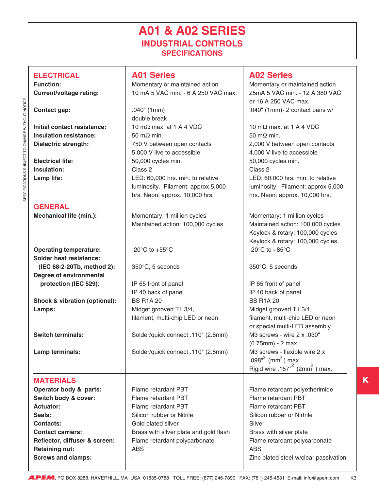## **A01 & A02 SERIES INDUSTRIAL CONTROLS SPECIFICATIONS**

<span id="page-3-0"></span>

| <b>ELECTRICAL</b><br><b>Function:</b><br><b>Current/voltage rating:</b>                                                                                                                                             | <b>A01 Series</b><br>Momentary or maintained action<br>10 mA 5 VAC min. - 6 A 250 VAC max.                                                                                                                    | <b>A02 Series</b><br>Momentary or maintained action<br>25mA 5 VAC min. - 12 A 380 VAC                                                                                                                                                   |
|---------------------------------------------------------------------------------------------------------------------------------------------------------------------------------------------------------------------|---------------------------------------------------------------------------------------------------------------------------------------------------------------------------------------------------------------|-----------------------------------------------------------------------------------------------------------------------------------------------------------------------------------------------------------------------------------------|
| <b>Contact gap:</b>                                                                                                                                                                                                 | $.040$ " (1mm)<br>double break                                                                                                                                                                                | or 16 A 250 VAC max.<br>.040" (1mm)- 2 contact pairs w/                                                                                                                                                                                 |
| Initial contact resistance:<br><b>Insulation resistance:</b><br><b>Dielectric strength:</b>                                                                                                                         | 10 m $\Omega$ max. at 1 A 4 VDC<br>50 m $\Omega$ min.<br>750 V between open contacts<br>5,000 V live to accessible                                                                                            | 10 m $\Omega$ max. at 1 A 4 VDC<br>50 m $\Omega$ min.<br>2,000 V between open contacts<br>4,000 V live to accessible                                                                                                                    |
| <b>Electrical life:</b><br>Insulation:<br>Lamp life:                                                                                                                                                                | 50,000 cycles min.<br>Class 2<br>LED: 60,000 hrs. min. to relative<br>luminosity. Filament: approx 5,000<br>hrs. Neon: approx. 10,000 hrs.                                                                    | 50,000 cycles min.<br>Class 2<br>LED: 60,000 hrs. min. to relative<br>luminosity. Filament: approx 5,000<br>hrs. Neon: approx. 10,000 hrs.                                                                                              |
| <b>GENERAL</b><br><b>Mechanical life (min.):</b>                                                                                                                                                                    | Momentary: 1 million cycles<br>Maintained action: 100,000 cycles                                                                                                                                              | Momentary: 1 million cycles<br>Maintained action: 100,000 cycles<br>Keylock & rotary: 100,000 cycles<br>Keylock & rotary: 100,000 cycles                                                                                                |
| <b>Operating temperature:</b><br><b>Solder heat resistance:</b>                                                                                                                                                     | -20 $\mathrm{^{\circ}C}$ to +55 $\mathrm{^{\circ}C}$                                                                                                                                                          | -20 $\mathrm{^{\circ}C}$ to +85 $\mathrm{^{\circ}C}$                                                                                                                                                                                    |
| (IEC 68-2-20Tb, method 2):<br><b>Degree of environmental</b>                                                                                                                                                        | 350°C, 5 seconds                                                                                                                                                                                              | 350°C, 5 seconds                                                                                                                                                                                                                        |
| protection (IEC 529):                                                                                                                                                                                               | IP 65 front of panel<br>IP 40 back of panel                                                                                                                                                                   | IP 65 front of panel<br>IP 40 back of panel                                                                                                                                                                                             |
| Shock & vibration (optional):<br>Lamps:                                                                                                                                                                             | <b>BS R1A 20</b><br>Midget grooved T1 3/4,<br>filament, multi-chip LED or neon                                                                                                                                | <b>BS R1A 20</b><br>Midget grooved T1 3/4,<br>filament, multi-chip LED or neon<br>or special multi-LED assembly                                                                                                                         |
| <b>Switch terminals:</b>                                                                                                                                                                                            | Solder/quick connect .110" (2.8mm)                                                                                                                                                                            | M3 screws - wire 2 x .030"<br>$(0.75mm) - 2 max.$                                                                                                                                                                                       |
| Lamp terminals:                                                                                                                                                                                                     | Solder/quick connect .110" (2.8mm)                                                                                                                                                                            | M3 screws - flexible wire 2 x<br>.098 $^2$ (mm <sup>2</sup> ) max.<br>Rigid wire .157" $2$ (2mm <sup>2</sup> ) max.                                                                                                                     |
| <b>MATERIALS</b>                                                                                                                                                                                                    |                                                                                                                                                                                                               |                                                                                                                                                                                                                                         |
| Operator body & parts:<br>Switch body & cover:<br><b>Actuator:</b><br>Seals:<br><b>Contacts:</b><br><b>Contact carriers:</b><br>Reflector, diffuser & screen:<br><b>Retaining nut:</b><br><b>Screws and clamps:</b> | Flame retardant PBT<br>Flame retardant PBT<br>Flame retardant PBT<br>Silicon rubber or Nitrile<br>Gold plated silver<br>Brass with silver plate and gold flash<br>Flame retardant polycarbonate<br><b>ABS</b> | Flame retardant polyetherimide<br>Flame retardant PBT<br>Flame retardant PBT<br>Silicon rubber or Nirtrile<br>Silver<br>Brass with silver plate<br>Flame retardant polycarbonate<br><b>ABS</b><br>Zinc plated steel w/clear passivation |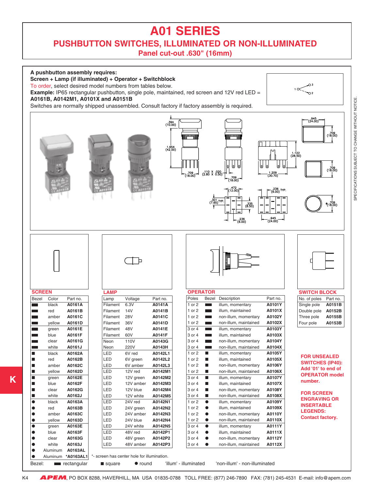## **A01 SERIES**

#### **PUSHBUTTON SWITCHES, ILLUMINATED OR NON-ILLUMINATED Panel cut-out .630" (16mm)**

<span id="page-4-0"></span>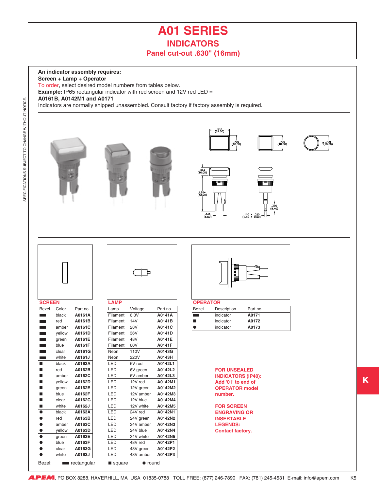### **A01 SERIES INDICATORS Panel cut-out .630" (16mm)**

945.<br>(24.00)

 $(18,00)$ 

(18,00

<span id="page-5-0"></span>**An indicator assembly requires:**

**Screen + Lamp + Operator**

To order, select desired model numbers from tables below.

Bezel: rectangular square • round

**Example:** IP65 rectangular indicator with red screen and 12V red LED =

#### **A0161B, A0142M1 and A0171**

Indicators are normally shipped unassembled. Consult factory if factory assembly is required.

|                          |        |          |             |            |          | $394$<br>(10.00)<br>(42.00) | MARINI<br>$.335$<br>(0.50) | MPILL<br>$\frac{1}{(8.40)}$<br>п.<br>$(2.80 \times 0.20)$ |  |
|--------------------------|--------|----------|-------------|------------|----------|-----------------------------|----------------------------|-----------------------------------------------------------|--|
|                          |        |          |             | ▫          |          |                             |                            |                                                           |  |
| <b>SCREEN</b>            |        |          | <b>LAMP</b> |            |          | <b>OPERATOR</b>             |                            |                                                           |  |
| <b>Bezel</b>             | Color  | Part no. | Lamp        | Voltage    | Part no. | Bezel                       | Description                | Part no.                                                  |  |
| $\sim$                   | black  | A0161A   | Filament    | 6.3V       | A0141A   | $\mathcal{L}$               | indicator                  | A0171                                                     |  |
| <b>College</b>           | red    | A0161B   | Filament    | 14V        | A0141B   | ш                           | indicator                  | A0172                                                     |  |
| <b>The Co</b>            | amber  | A0161C   | Filament    | <b>28V</b> | A0141C   | $\bullet$                   | indicator                  | A0173                                                     |  |
| <b>The State</b>         | yellow | A0161D   | Filament    | 36V        | A0141D   |                             |                            |                                                           |  |
| a an                     | green  | A0161E   | Filament    | 48V        | A0141E   |                             |                            |                                                           |  |
| m.                       | blue   | A0161F   | Filament    | 60V        | A0141F   |                             |                            |                                                           |  |
| <b>The Co</b>            | clear  | A0161G   | Neon        | 110V       | A0143G   |                             |                            |                                                           |  |
| <b>Contract Contract</b> | white  | A0161J   | Neon        | 220V       | A0143H   |                             |                            |                                                           |  |
| п                        | black  | A0162A   | LED         | 6V red     | A0142L1  |                             |                            |                                                           |  |
| п                        | red    | A0162B   | LED         | 6V green   | A0142L2  |                             | <b>FOR UNSEALED</b>        |                                                           |  |
| ■                        | amber  | A0162C   | LED         | 6V amber   | A0142L3  |                             |                            | <b>INDICATORS (IP40):</b>                                 |  |
| ■                        | yellow | A0162D   | LED         | 12V red    | A0142M1  |                             | Add '01' to end of         |                                                           |  |
| ■                        | green  | A0162E   | LED         | 12V green  | A0142M2  |                             |                            | <b>OPERATOR model</b>                                     |  |
| п                        | blue   | A0162F   | LED         | 12V amber  | A0142M3  |                             | number.                    |                                                           |  |
| П                        | clear  | A0162G   | LED         | 12V blue   | A0142M4  |                             |                            |                                                           |  |
| ■                        | white  | A0162J   | LED         | 12V white  | A0142M5  |                             | <b>FOR SCREEN</b>          |                                                           |  |
| $\bullet$                | black  | A0163A   | LED         | 24V red    | A0142N1  |                             | <b>ENGRAVING OR</b>        |                                                           |  |
| ●                        | red    | A0163B   | LED         | 24V green  | A0142N2  |                             | <b>INSERTABLE</b>          |                                                           |  |
| $\bullet$                | amber  | A0163C   | LED         | 24V amber  | A0142N3  |                             | <b>LEGENDS:</b>            |                                                           |  |
|                          | vellow | A0163D   | LED         | 24V blue   | A0142N4  |                             | <b>Contact factory.</b>    |                                                           |  |
| $\bullet$                | green  | A0163E   | LED         | 24V white  | A0142N5  |                             |                            |                                                           |  |
|                          | blue   | A0163F   | LED         | 48V red    | A0142P1  |                             |                            |                                                           |  |
| $\bullet$                | clear  | A0163G   | LED         | 48V green  | A0142P2  |                             |                            |                                                           |  |
| $\bullet$                | white  | A0163J   | LED         | 48V amber  | A0142P3  |                             |                            |                                                           |  |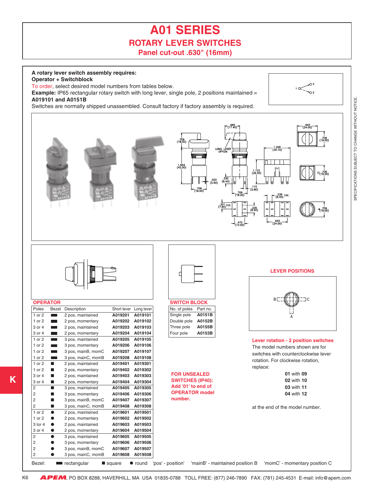## **A01 SERIES ROTARY LEVER SWITCHES Panel cut-out .630" (16mm)**

#### <span id="page-6-0"></span>**A rotary lever switch assembly requires:**

**Operator + Switchblock**

To order, select desired model numbers from tables below.

**Example:** IP65 rectangular rotary switch with long lever, single pole, 2 positions maintained = **A019101 and A0151B**

Switches are normally shipped unassembled. Consult factory if factory assembly is required.



 $\rightarrow$  2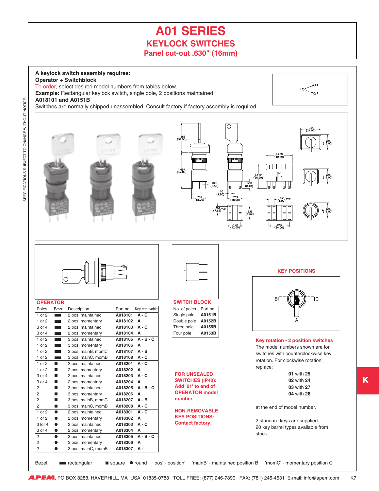### **A01 SERIES KEYLOCK SWITCHES Panel cut-out .630" (16mm)**

<span id="page-7-0"></span>**A keylock switch assembly requires: Operator + Switchblock** To order, select desired model numbers from tables below.  $\frac{1}{\sqrt{2}}$ **Example:** Rectangular keylock switch, single pole, 2 positions maintained = **A018101 and A0151B** Switches are normally shipped unassembled. Consult factory if factory assembly is required.  $(34,50)$ 1.209<br>(30.70 Minternation االتستا  $(42.00)$  $(28.50)$  $\frac{1}{330}$ <br>(8.40) . .236<br>(6.00) TYF (8.50)<br>(8.50) 945.<br>24.00 **KEY POSITIONS**  $\circ$ **B OPERATOR SWITCH BLOCK** Poles Bezel Description Part no. Key removable No. of poles Part no. 1 or 2 2 pos, maintained **A018101 A - C** Single pole **A0151B** 1 or 2 2 pos, momentary **A018102 A** Double pole **A0152B** 3 or 4 2 pos, maintained **A018103 A - C** Three pole **A0155B** 3 or 4 2 pos, momentary **A018104 A** Four pole **A0153B** 1 or 2 3 pos, maintained **A018105 A - B - C Key rotation - 2 position switches** 1 or 2 3 pos, momentary **A018106 A** The model numbers shown are for 1 or 2 3 pos, mainB, momC **A018107 A - B** switches with counterclockwise key 1 or 2 3 pos, mainC, momB **A018108 A - C** rotation. For clockwise rotation, 1 or 2 ■ 2 pos, maintained **A018201 A - C** replace: 1 or 2 ■ 2 pos, momentary **A018202 A 01** with **25 FOR UNSEALED** 3 or 4 ■ 2 pos, maintained **A018203 A - C SWITCHES (IP40): 02** with **24** 3 or 4 ■ 2 pos, momentary **A018204 A Add '01' to end of 03** with **27** 2 ■ 3 pos, maintained **A018205 A - B - C OPERATOR model** 2 ■ 3 pos, momentary **A018206 A 04** with **28 number.** 2 ■ 3 pos, mainB, momC **A018207 A - B** 2 ■ 3 pos, mainC, momB **A018208 A - C** at the end of model number. **NON-REMOVABLE** 1 or 2 ● 2 pos, maintained **A018301 A - C KEY POSITIONS:** 1 or 2 ● 2 pos, momentary **A018302 A** 2 standard keys are supplied. **Contact factory.** 3 lor 4 ● 2 pos, maintained **A018303 A - C** 20 key barrel types available from 3 or 4 ● 2 pos, momentary **A018304 A** stock. 2 ● 3 pos, maintained **A018305 A - B - C** 2 ● 3 pos, momentary **A018306 A** 2 ● 3 pos, mainC, momB **A018307 A -**

Bezel: **Fou** rectangular square  $\bullet$  round 'pos' - position' 'mainB' - maintained position B 'momC' - momentary position C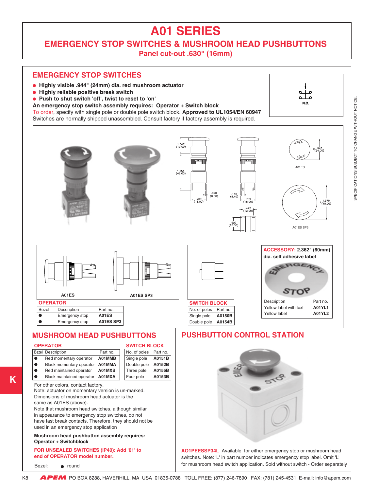## **A01 SERIES**

<span id="page-8-0"></span>**EMERGENCY STOP SWITCHES & MUSHROOM HEAD PUSHBUTTONS**

**Panel cut-out .630" (16mm)**

#### **EMERGENCY STOP SWITCHES**

- ● **Highly visible .944" (24mm) dia. red mushroom actuator**
- ● **Highly reliable positive break switch**
- **Push to shut switch 'off', twist to reset to 'on'**
- **An emergency stop switch assembly requires: Operator + Switch block**

To order, specify with single pole or double pole switch block. **Approved to UL1054/EN 60947**

Switches are normally shipped unassembled. Consult factory if factory assembly is required.



Note: actuator on momentary version is un-marked. Dimensions of mushroom head actuator is the same as A01ES (above).

Note that mushroom head switches, although similar in appearance to emergency stop switches, do not have fast break contacts. Therefore, they should not be used in an emergency stop application

**Mushroom head pushbutton assembly requires: Operator + Switchblock**

#### **FOR UNSEALED SWITCHES (IP40): Add '01' to end of OPERATOR model number.**

Bezel: **e** round

**AO1PEESSP34L** Available for either emergency stop or mushroom head switches. Note: 'L' in part number indicates emergency stop label. Omit 'L' for mushroom head switch application. Sold without switch - Order separately

- .

K8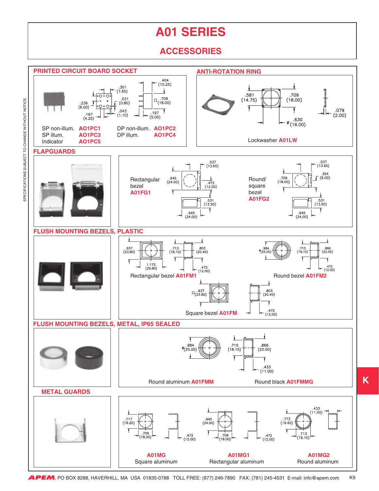## **A01 SERIES**

### **ACCESSORIES**

<span id="page-9-0"></span>

**APEM**, PO BOX 8288, HAVERHILL, MA USA 01835-0788 TOLL FREE: (877) 246-7890 FAX: (781) 245-4531 E-mail: info@apem.com K9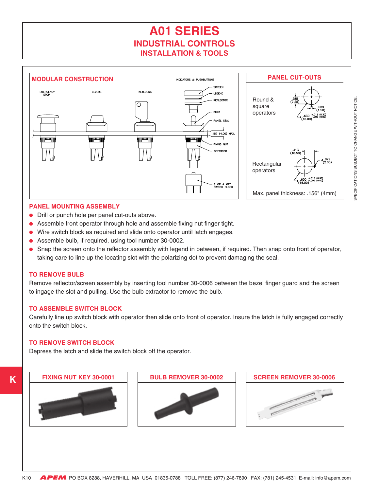## **A01 SERIES INDUSTRIAL CONTROLS INSTALLATION & TOOLS**

<span id="page-10-0"></span>

#### **PANEL MOUNTING ASSEMBLY**

- Drill or punch hole per panel cut-outs above.
- Assemble front operator through hole and assemble fixing nut finger tight.
- Wire switch block as required and slide onto operator until latch engages.
- Assemble bulb, if required, using tool number 30-0002.
- Snap the screen onto the reflector assembly with legend in between, if required. Then snap onto front of operator, taking care to line up the locating slot with the polarizing dot to prevent damaging the seal.

#### **TO REMOVE BULB**

Remove reflector/screen assembly by inserting tool number 30-0006 between the bezel finger guard and the screen to ingage the slot and pulling. Use the bulb extractor to remove the bulb.

#### **TO ASSEMBLE SWITCH BLOCK**

Carefully line up switch block with operator then slide onto front of operator. Insure the latch is fully engaged correctly onto the switch block.

#### **TO REMOVE SWITCH BLOCK**

Depress the latch and slide the switch block off the operator.

**FIXING NUT KEY 30-0001**



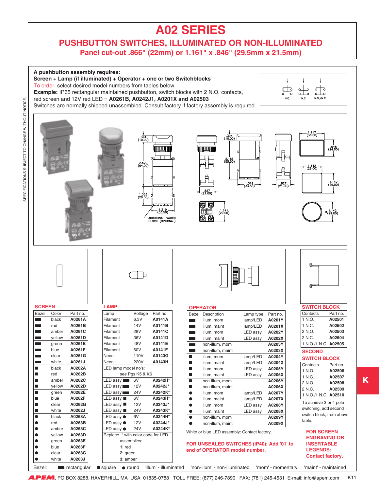#### **PUSHBUTTON SWITCHES, ILLUMINATED OR NON-ILLUMINATED Panel cut-out .866" (22mm) or 1.161" x .846" (29.5mm x 21.5mm)**

<span id="page-11-0"></span>

**APEM**, PO BOX 8288, HAVERHILL, MA USA 01835-0788 TOLL FREE: (877) 246-7890 FAX: (781) 245-4531 E-mail: info@apem.com K11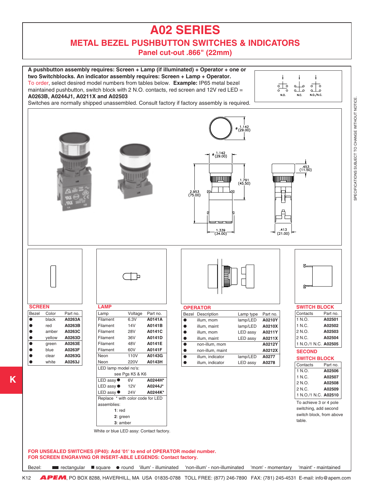**METAL BEZEL PUSHBUTTON SWITCHES & INDICATORS**

**Panel cut-out .866" (22mm)**

<span id="page-12-0"></span>

Bezel: ■ rectangular ■ square ● round 'illum' - illuminated 'non-illum' - non-illuminated 'mom' - momentary 'maint' - maintained

**APEM**, PO BOX 8288, HAVERHILL, MA USA 01835-0788 TOLL FREE: (877) 246-7890 FAX: (781) 245-4531 E-mail: info@apem.com K12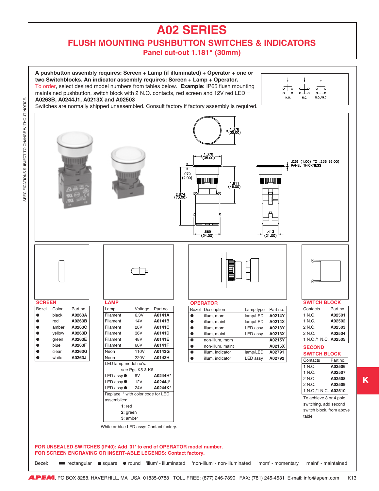### <span id="page-13-0"></span>**FLUSH MOUNTING PUSHBUTTON SWITCHES & INDICATORS**

**Panel cut-out 1.181" (30mm)**

**A pushbutton assembly requires: Screen + Lamp (if illuminated) + Operator + one or two Switchblocks. An indicator assembly requires: Screen + Lamp + Operator.** To order, select desired model numbers from tables below. **Example:** IP65 flush mounting maintained pushbutton, switch block with  $2$  N.O. contacts, red screen and  $12V$  red LED = **A0263B, A0244J1, A0213X and A02503**



**K**

Switches are normally shipped unassembled. Consult factory if factory assembly is required.

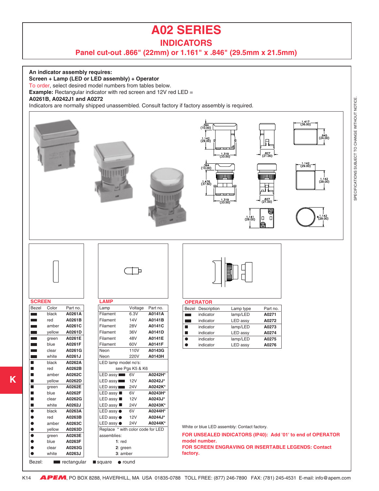### **INDICATORS**

#### **Panel cut-out .866" (22mm) or 1.161" x .846" (29.5mm x 21.5mm)**

<span id="page-14-0"></span>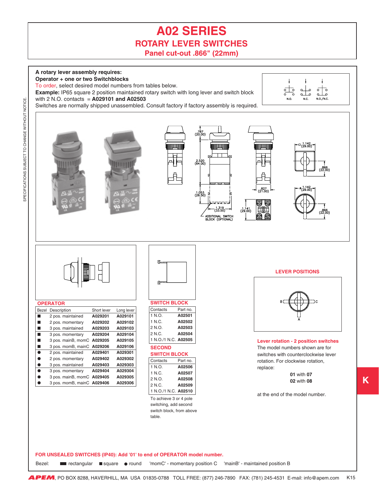## **A02 SERIES ROTARY LEVER SWITCHES Panel cut-out .866" (22mm)**

<span id="page-15-0"></span>

**FOR UNSEALED SWITCHES (IP40): Add '01' to end of OPERATOR model number.**

■ rectangular ■ square ● round Bezel: **Example 1** rectangular square  $\bullet$  round 'momC' - momentary position C 'mainB' - maintained position B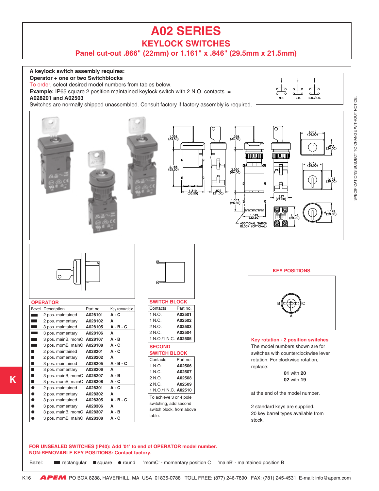**KEYLOCK SWITCHES**

**Panel cut-out .866" (22mm) or 1.161" x .846" (29.5mm x 21.5mm)**

<span id="page-16-0"></span>

SPECIFICATIONS SUBJECT TO CHANGE WITHOUT NOTICE. SPECIFICATIONS SUBJECT TO CHANGE WITHOUT NOTICE

**K**

**APEM**, PO BOX 8288, HAVERHILL, MA USA 01835-0788 TOLL FREE: (877) 246-7890 FAX: (781) 245-4531 E-mail: info@apem.com K16

Bezel: **Exerciangular Sequare or round** 'momC' - momentary position C 'mainB' - maintained position B

■ rectangular ■ square ● round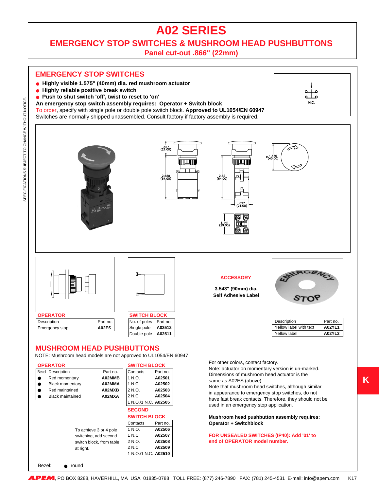**EMERGENCY STOP SWITCHES & MUSHROOM HEAD PUSHBUTTONS**

**Panel cut-out .866" (22mm)**

#### **EMERGENCY STOP SWITCHES**

- ● **Highly visible 1.575" (40mm) dia. red mushroom actuator**
- ● **Highly reliable positive break switch**

SPECIFICATIONS SUBJECT TO CHANGE WITHOUT NOTICE.

SPECIFICATIONS SUBJECT TO CHANGE WITHOUT NOTICE.

- **Push to shut switch 'off', twist to reset to 'on'**
- **An emergency stop switch assembly requires: Operator + Switch block**

To order, specify with single pole or double pole switch block. **Approved to UL1054/EN 60947** Switches are normally shipped unassembled. Consult factory if factory assembly is required.





#### **MUSHROOM HEAD PUSHBUTTONS**

NOTE: Mushroom head models are not approved to UL1054/EN 60947

| <b>OPERATOR</b>          |                          | <b>SWITCH BLOCK</b>  |          |  |
|--------------------------|--------------------------|----------------------|----------|--|
| <b>Bezel Description</b> | Part no.                 | Contacts             | Part no. |  |
| Red momentary            | A02MMB                   | 1 N.O.               | A02501   |  |
| <b>Black momentary</b>   | A02MMA                   | 1 N.C.               | A02502   |  |
| Red maintained           | A02MXB                   | 2 N.O.               | A02503   |  |
| <b>Black maintained</b>  | A02MXA                   | 2 N.C.               | A02504   |  |
|                          |                          | 1 N.O./1 N.C. A02505 |          |  |
|                          |                          | <b>SECOND</b>        |          |  |
|                          | <b>SWITCH BLOCK</b>      |                      |          |  |
|                          |                          | Contacts             | Part no. |  |
| To achieve 3 or 4 pole   | 1 N.O.                   | A02506               |          |  |
| switching, add second    | 1 N.C.                   | A02507               |          |  |
|                          | switch block, from table | 2 N.O.               | A02508   |  |
| at right.                |                          | 2 N.C.               | A02509   |  |
|                          |                          | 1 N.O./1 N.C. A02510 |          |  |

Bezel: **e** round

Yellow label **A02YL2**

For other colors, contact factory.

Note: actuator on momentary version is un-marked. Dimensions of mushroom head actuator is the same as A02ES (above).

Note that mushroom head switches, although similar in appearance to emergency stop switches, do not have fast break contacts. Therefore, they should not be used in an emergency stop application.

**Mushroom head pushbutton assembly requires: Operator + Switchblock**

**FOR UNSEALED SWITCHES (IP40): Add '01' to end of OPERATOR model number.**